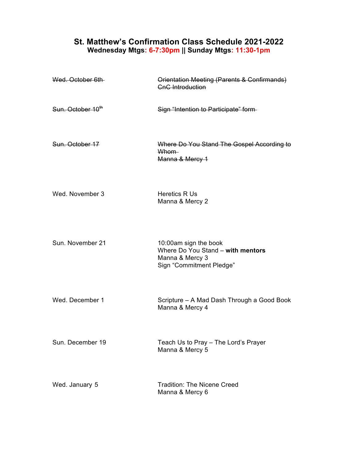## **St. Matthew's Confirmation Class Schedule 2021-2022 Wednesday Mtgs: 6-7:30pm || Sunday Mtgs: 11:30-1pm**

| Wed. October 6th-             | Orientation Meeting (Parents & Confirmands)<br><b>CnC</b> Introduction                                    |
|-------------------------------|-----------------------------------------------------------------------------------------------------------|
| Sun. October 10 <sup>th</sup> | Sign "Intention to Participate" form-                                                                     |
| Sun. October 17               | Where Do You Stand The Gospel According to<br>Whom-<br>Manna & Mercy 1                                    |
| Wed. November 3               | <b>Heretics R Us</b><br>Manna & Mercy 2                                                                   |
| Sun. November 21              | 10:00am sign the book<br>Where Do You Stand - with mentors<br>Manna & Mercy 3<br>Sign "Commitment Pledge" |
| Wed. December 1               | Scripture - A Mad Dash Through a Good Book<br>Manna & Mercy 4                                             |
| Sun. December 19              | Teach Us to Pray - The Lord's Prayer<br>Manna & Mercy 5                                                   |
| Wed. January 5                | <b>Tradition: The Nicene Creed</b><br>Manna & Mercy 6                                                     |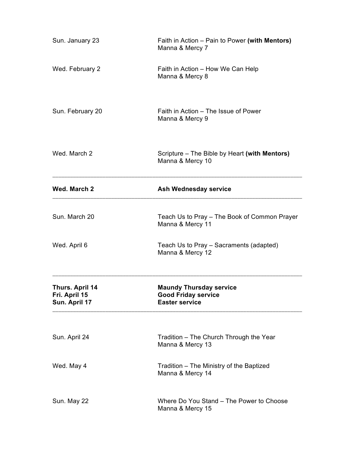| Sun. January 23                                   | Faith in Action – Pain to Power (with Mentors)<br>Manna & Mercy 7                     |
|---------------------------------------------------|---------------------------------------------------------------------------------------|
| Wed. February 2                                   | Faith in Action - How We Can Help<br>Manna & Mercy 8                                  |
| Sun. February 20                                  | Faith in Action – The Issue of Power<br>Manna & Mercy 9                               |
| Wed. March 2                                      | Scripture - The Bible by Heart (with Mentors)<br>Manna & Mercy 10                     |
| Wed. March 2                                      | Ash Wednesday service                                                                 |
| Sun. March 20                                     | Teach Us to Pray - The Book of Common Prayer<br>Manna & Mercy 11                      |
| Wed. April 6                                      | Teach Us to Pray - Sacraments (adapted)<br>Manna & Mercy 12                           |
| Thurs. April 14<br>Fri. April 15<br>Sun. April 17 | <b>Maundy Thursday service</b><br><b>Good Friday service</b><br><b>Easter service</b> |
| Sun. April 24                                     | Tradition - The Church Through the Year<br>Manna & Mercy 13                           |
| Wed. May 4                                        | Tradition - The Ministry of the Baptized<br>Manna & Mercy 14                          |
| Sun. May 22                                       | Where Do You Stand - The Power to Choose<br>Manna & Mercy 15                          |